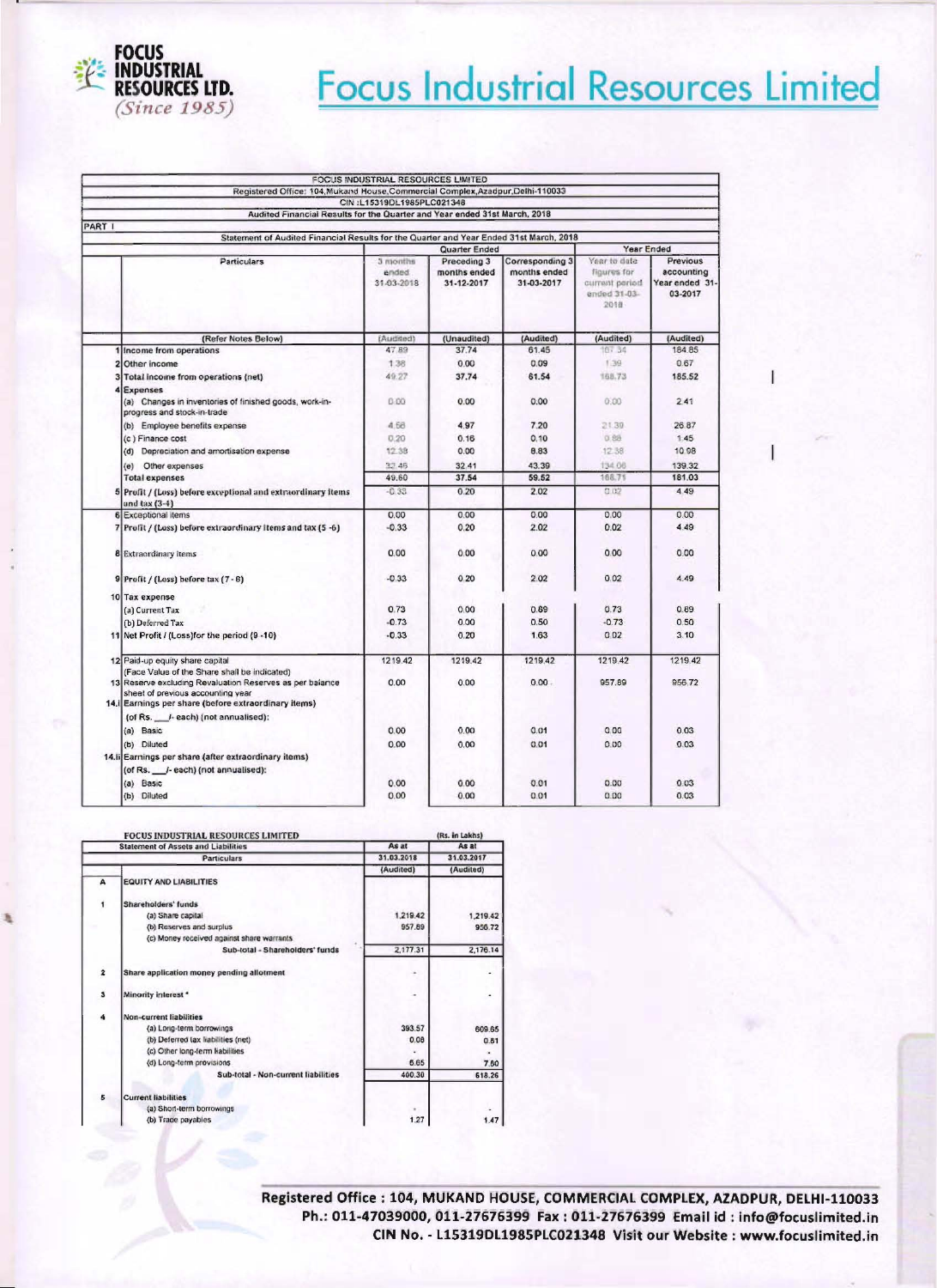

## Focus Industrial Resources Limited

| FOCUS INDUSTRIAL RESOURCES LIMITED                                                                                                                                                                   |                                                                                 |                                           |                                               |                                                                       |                                                     |  |
|------------------------------------------------------------------------------------------------------------------------------------------------------------------------------------------------------|---------------------------------------------------------------------------------|-------------------------------------------|-----------------------------------------------|-----------------------------------------------------------------------|-----------------------------------------------------|--|
|                                                                                                                                                                                                      | Registered Office: 104, Mukand House, Commercial Complex, Azadpur, Delhi-110033 |                                           |                                               |                                                                       |                                                     |  |
|                                                                                                                                                                                                      | CIN:L15319DL1985PLC021348                                                       |                                           |                                               |                                                                       |                                                     |  |
|                                                                                                                                                                                                      | Audited Financial Results for the Quarter and Year ended 31st March, 2018       |                                           |                                               |                                                                       |                                                     |  |
| PART I                                                                                                                                                                                               |                                                                                 |                                           |                                               |                                                                       |                                                     |  |
| Statement of Audited Financial Results for the Quarter and Year Ended 31st March, 2018                                                                                                               |                                                                                 |                                           |                                               |                                                                       |                                                     |  |
|                                                                                                                                                                                                      |                                                                                 | Quarter Ended                             |                                               |                                                                       | Year Ended                                          |  |
| <b>Particulars</b>                                                                                                                                                                                   | 3 months<br>anded<br>31-03-2018                                                 | Preceding 3<br>months ended<br>31-12-2017 | Corresponding 3<br>months ended<br>31-03-2017 | Year to date<br>figures for<br>current period<br>ended 31-03-<br>2018 | Previous<br>accounting<br>Year ended 31-<br>03-2017 |  |
| (Refer Notes Below)                                                                                                                                                                                  | (Audited)                                                                       | (Unaudited)                               | (Audited)                                     | (Audited)                                                             | (Audited)                                           |  |
| Income from operations                                                                                                                                                                               | 47.89                                                                           | 37.74                                     | 61.45                                         | 167 34                                                                | 184.85                                              |  |
| Other income<br>2                                                                                                                                                                                    | 138                                                                             | 0.00                                      | 0.09                                          | 1.39                                                                  | 0.67                                                |  |
| 3<br>Total income from operations (net)                                                                                                                                                              | 49.27                                                                           | 37.74                                     | 61.54                                         | 168.73                                                                | 185.52                                              |  |
| Expenses                                                                                                                                                                                             |                                                                                 |                                           |                                               |                                                                       |                                                     |  |
| (a) Changes in inventories of finished goods, work-in-<br>progress and stock-in-trade                                                                                                                | 0.00                                                                            | 0.00                                      | 0.00                                          | 0.00                                                                  | 2.41                                                |  |
| (b) Employee benefits expense                                                                                                                                                                        | 4.58                                                                            | 4.97                                      | 7.20                                          | 21.30                                                                 | 26 87                                               |  |
| (c) Finance cost                                                                                                                                                                                     | 0.20                                                                            | 0.16                                      | 0.10                                          | 0.89                                                                  | 1.45                                                |  |
| (d) Depreciation and amortisation expense                                                                                                                                                            | 12.38                                                                           | 0.00                                      | 8.83                                          | 12.38                                                                 | 10 98                                               |  |
| (e) Other expenses                                                                                                                                                                                   | 32.46                                                                           | 32 41                                     | 43.39                                         | 134.06                                                                | 139.32                                              |  |
| <b>Total expenses</b>                                                                                                                                                                                | 49.60                                                                           | 37.54                                     | 59.52                                         | 168.71                                                                | 181.03                                              |  |
|                                                                                                                                                                                                      | $-0.33$                                                                         | 0.20                                      | 2.02                                          | 0.02                                                                  | 4 4 9                                               |  |
| 5<br>Profit / (Loss) before exceptional and extraordinary items<br>and $\tan(3-4)$                                                                                                                   |                                                                                 |                                           |                                               |                                                                       |                                                     |  |
| 6 Exceptional items                                                                                                                                                                                  | 0.00                                                                            | 0.00                                      | 0.00                                          | 0.00                                                                  | 0.00                                                |  |
| 7<br>Profit / (Loss) before extraordinary items and tax (5 -6)                                                                                                                                       | $-0.33$                                                                         | 0.20                                      | 2.02                                          | 0.02                                                                  | 4.49                                                |  |
|                                                                                                                                                                                                      |                                                                                 |                                           |                                               |                                                                       |                                                     |  |
| <b>8</b> Extraordinary items                                                                                                                                                                         | 0.00                                                                            | 0.00                                      | 0.00                                          | 0.00                                                                  | 0.00                                                |  |
| 9 Profit / (Loss) before tax (7 - 8)                                                                                                                                                                 | $-0.33$                                                                         | 0.20                                      | 2.02                                          | 0.02                                                                  | 4.49                                                |  |
| 10 Tax expense                                                                                                                                                                                       |                                                                                 |                                           |                                               |                                                                       |                                                     |  |
| (a) Current Tax                                                                                                                                                                                      | 0.73                                                                            | 0.00                                      | 0.69                                          | 0.73                                                                  | 0.89                                                |  |
| (b) Deferred Tax                                                                                                                                                                                     | $-0.73$                                                                         | 0.00                                      | 0.50                                          | $-0.73$                                                               | 0.50                                                |  |
| 11 Net Profit / (Loss) for the period (9 -10)                                                                                                                                                        | $-0.33$                                                                         | 0.20                                      | 1.63                                          | 002                                                                   | 3.10                                                |  |
| 12 Paid-up equity share capital                                                                                                                                                                      | 1219.42                                                                         | 1219.42                                   | 1219.42                                       | 1219.42                                                               | 1219.42                                             |  |
| (Face Value of the Share shall be indicated)<br>13 Reserve excluding Revaluation Reserves as per balance<br>sheet of previous accounting year<br>14. Earnings per share (before extraordinary items) | 0.00                                                                            | 0.00                                      | 0.00.                                         | 957.89                                                                | 956.72                                              |  |
| (of Rs. ___ /- each) (not annualised):                                                                                                                                                               |                                                                                 |                                           |                                               |                                                                       |                                                     |  |
| (a) Basic                                                                                                                                                                                            | 0.00                                                                            | 0.00                                      | 0.01                                          | 0.00                                                                  | 0.03                                                |  |
| (b) Diluted                                                                                                                                                                                          | 0.00                                                                            | 0.00                                      | 0.01                                          | 0.00                                                                  | 0.03                                                |  |
| 14.ii Earnings per share (after extraordinary items)                                                                                                                                                 |                                                                                 |                                           |                                               |                                                                       |                                                     |  |
| (of Rs. /-each) (not annualised):                                                                                                                                                                    |                                                                                 |                                           |                                               |                                                                       |                                                     |  |
| (a) Basic                                                                                                                                                                                            | 0.00                                                                            | 0.00                                      | 0.01                                          | 0.00                                                                  | 0.03                                                |  |
| (b) Diluted                                                                                                                                                                                          | 0.00                                                                            | 0.00                                      | 0.01                                          | 0.00                                                                  | 0.03                                                |  |
|                                                                                                                                                                                                      |                                                                                 |                                           |                                               |                                                                       |                                                     |  |

|                         | <b>FOCUS INDUSTRIAL RESOURCES LIMITED</b>  |            |            |
|-------------------------|--------------------------------------------|------------|------------|
|                         | <b>Statement of Assets and Liabilities</b> | As at      | As at      |
|                         | <b>Particulars</b>                         | 31.03.2018 | 31.03.2017 |
|                         |                                            | (Audited)  | (Audited)  |
| A                       | <b>EQUITY AND LIABILITIES</b>              |            |            |
| 1                       | Shareholders' funds                        |            |            |
|                         | (a) Share capital                          | 1,219.42   | 1.219.42   |
|                         | (b) Reserves and surplus                   | 957.89     | 956.72     |
|                         | (c) Money received against share warrants  |            |            |
|                         | Sub-total - Shareholders' funds            | 2.177.31   | 2,176.14   |
| $\overline{\mathbf{2}}$ | Share application money pending allotment  |            |            |
| 3                       | Minority interest *                        |            |            |
| 4                       | Non-current liabilities                    |            |            |
|                         | (a) Long-term borrowings                   | 393.57     | 609.65     |
|                         | (b) Deferred tax liabilities (net)         | 0.08       | 0.81       |
|                         | (c) Other long-ferm liabilities            |            |            |
|                         | (d) Long-term provisions                   | 6.65       | 7.60       |
|                         | Sub-total - Non-current liabilities        | 400.30     | 618.26     |
| 5                       | <b>Current liabilities</b>                 |            |            |
|                         | (a) Short-term borrowings                  | $\bullet$  |            |
|                         | (b) Trace payables                         | 1,27       | 1.47       |

Registered Office : 104, MUKAND HOUSE, COMMERCIAL COMPLEX, AZADPUR, DELHI-110033 Ph.: 011-47039000, 011-27676399 Fax: 011-27676399 Email id: info@focuslimited.in CIN No. - L15319DL1985PLC021348 Visit our Website : www.focuslimited.in